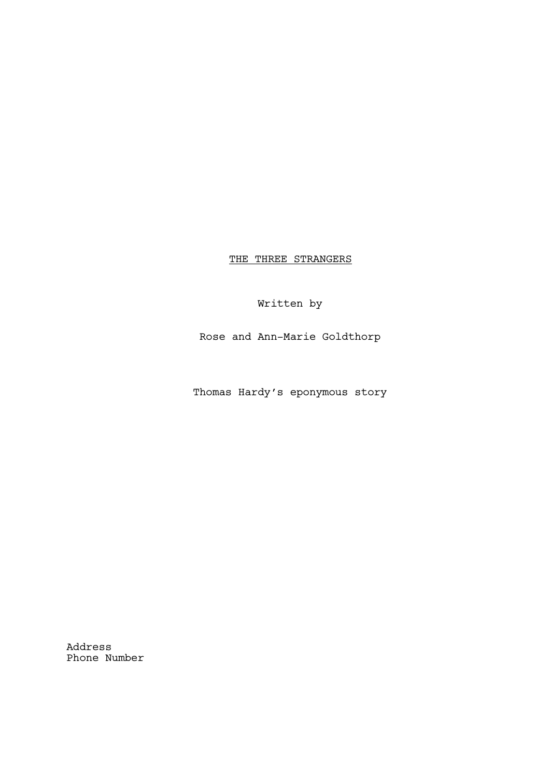THE THREE STRANGERS

Written by

Rose and Ann-Marie Goldthorp

Thomas Hardy's eponymous story

Address Phone Number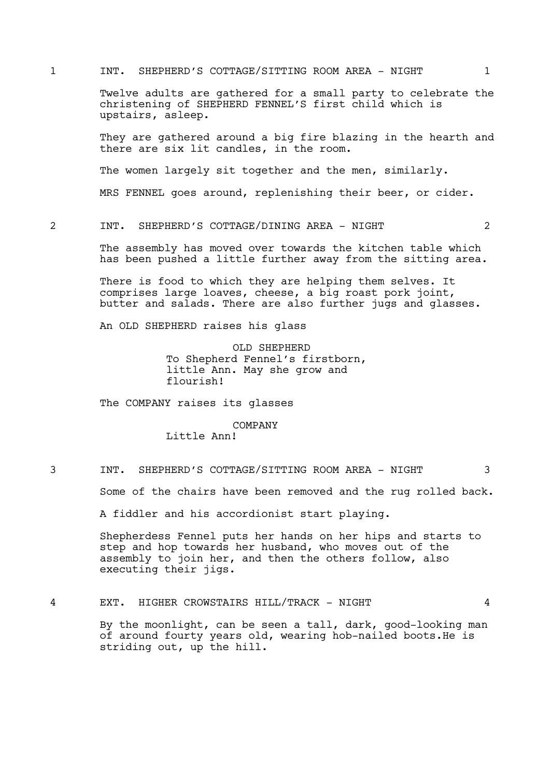1 INT. SHEPHERD'S COTTAGE/SITTING ROOM AREA - NIGHT 1

Twelve adults are gathered for a small party to celebrate the christening of SHEPHERD FENNEL'S first child which is upstairs, asleep.

They are gathered around a big fire blazing in the hearth and there are six lit candles, in the room.

The women largely sit together and the men, similarly.

MRS FENNEL goes around, replenishing their beer, or cider.

2 INT. SHEPHERD'S COTTAGE/DINING AREA - NIGHT 2

The assembly has moved over towards the kitchen table which has been pushed a little further away from the sitting area.

There is food to which they are helping them selves. It comprises large loaves, cheese, a big roast pork joint, butter and salads. There are also further jugs and glasses.

An OLD SHEPHERD raises his glass

OLD SHEPHERD To Shepherd Fennel's firstborn, little Ann. May she grow and flourish!

The COMPANY raises its glasses

# COMPANY

Little Ann!

3 INT. SHEPHERD'S COTTAGE/SITTING ROOM AREA - NIGHT 3

Some of the chairs have been removed and the rug rolled back.

A fiddler and his accordionist start playing.

Shepherdess Fennel puts her hands on her hips and starts to step and hop towards her husband, who moves out of the assembly to join her, and then the others follow, also executing their jigs.

4 EXT. HIGHER CROWSTAIRS HILL/TRACK - NIGHT 4

By the moonlight, can be seen a tall, dark, good-looking man of around fourty years old, wearing hob-nailed boots.He is striding out, up the hill.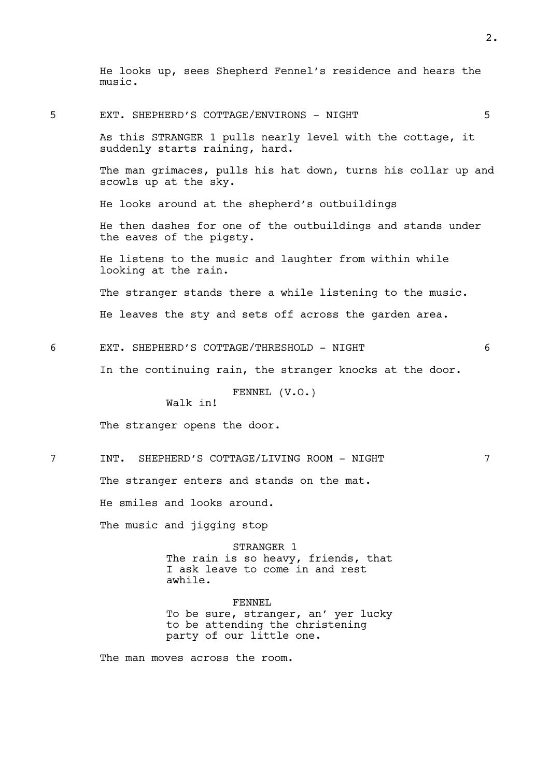He looks up, sees Shepherd Fennel's residence and hears the music.

2.

5 EXT. SHEPHERD'S COTTAGE/ENVIRONS - NIGHT 5 As this STRANGER 1 pulls nearly level with the cottage, it suddenly starts raining, hard. The man grimaces, pulls his hat down, turns his collar up and scowls up at the sky. He looks around at the shepherd's outbuildings He then dashes for one of the outbuildings and stands under the eaves of the pigsty. He listens to the music and laughter from within while looking at the rain. The stranger stands there a while listening to the music. He leaves the sty and sets off across the garden area. 6 EXT. SHEPHERD'S COTTAGE/THRESHOLD - NIGHT 6 In the continuing rain, the stranger knocks at the door. FENNEL (V.O.) Walk in! The stranger opens the door. 7 INT. SHEPHERD'S COTTAGE/LIVING ROOM - NIGHT 7 The stranger enters and stands on the mat. He smiles and looks around. The music and jigging stop STRANGER 1 The rain is so heavy, friends, that I ask leave to come in and rest awhile. FENNEL To be sure, stranger, an' yer lucky to be attending the christening party of our little one.

The man moves across the room.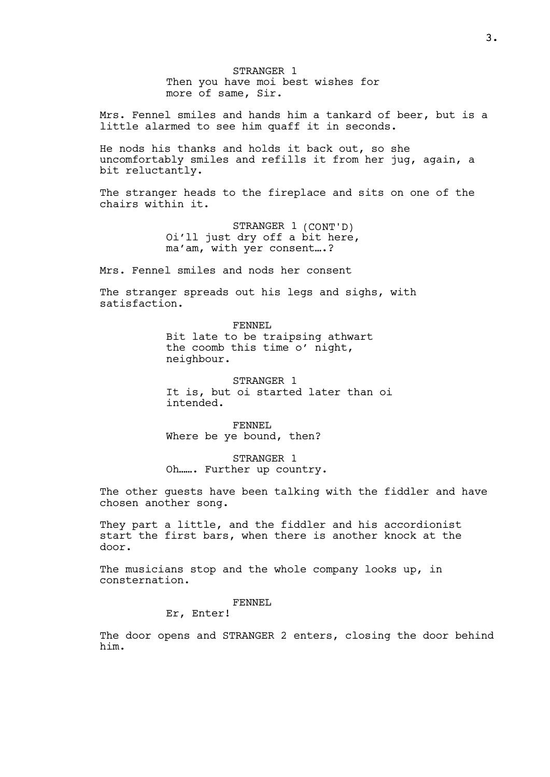STRANGER 1 Then you have moi best wishes for more of same, Sir.

Mrs. Fennel smiles and hands him a tankard of beer, but is a little alarmed to see him quaff it in seconds.

He nods his thanks and holds it back out, so she uncomfortably smiles and refills it from her jug, again, a bit reluctantly.

The stranger heads to the fireplace and sits on one of the chairs within it.

> STRANGER 1 (CONT'D) Oi'll just dry off a bit here, ma'am, with yer consent….?

Mrs. Fennel smiles and nods her consent

The stranger spreads out his legs and sighs, with satisfaction.

> FENNEL Bit late to be traipsing athwart the coomb this time o' night, neighbour.

STRANGER 1 It is, but oi started later than oi intended.

FENNEL Where be ye bound, then?

STRANGER 1 Oh……. Further up country.

The other guests have been talking with the fiddler and have chosen another song.

They part a little, and the fiddler and his accordionist start the first bars, when there is another knock at the door.

The musicians stop and the whole company looks up, in consternation.

## FENNEL

Er, Enter!

The door opens and STRANGER 2 enters, closing the door behind him.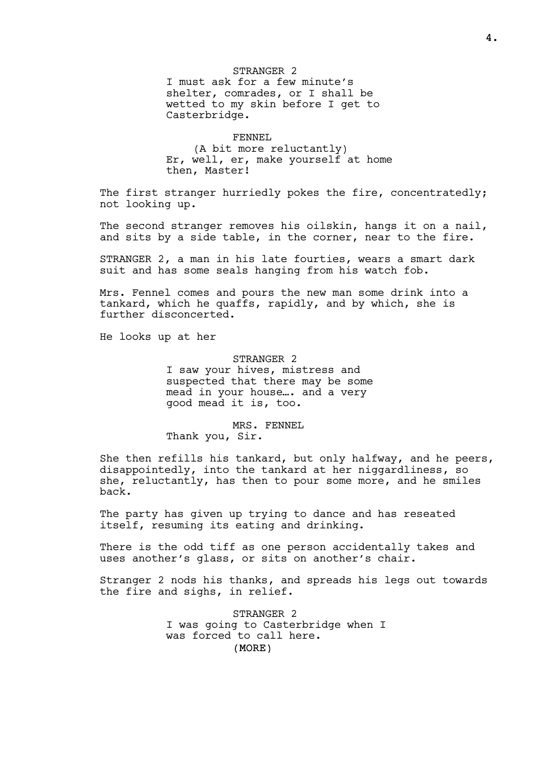STRANGER 2 I must ask for a few minute's shelter, comrades, or I shall be wetted to my skin before I get to Casterbridge.

FENNEL (A bit more reluctantly) Er, well, er, make yourself at home then, Master!

The first stranger hurriedly pokes the fire, concentratedly; not looking up.

The second stranger removes his oilskin, hangs it on a nail, and sits by a side table, in the corner, near to the fire.

STRANGER 2, a man in his late fourties, wears a smart dark suit and has some seals hanging from his watch fob.

Mrs. Fennel comes and pours the new man some drink into a tankard, which he quaffs, rapidly, and by which, she is further disconcerted.

He looks up at her

STRANGER 2 I saw your hives, mistress and suspected that there may be some mead in your house…. and a very good mead it is, too.

MRS. FENNEL Thank you, Sir.

She then refills his tankard, but only halfway, and he peers, disappointedly, into the tankard at her niggardliness, so she, reluctantly, has then to pour some more, and he smiles back.

The party has given up trying to dance and has reseated itself, resuming its eating and drinking.

There is the odd tiff as one person accidentally takes and uses another's glass, or sits on another's chair.

Stranger 2 nods his thanks, and spreads his legs out towards the fire and sighs, in relief.

> (MORE) STRANGER 2 I was going to Casterbridge when I was forced to call here.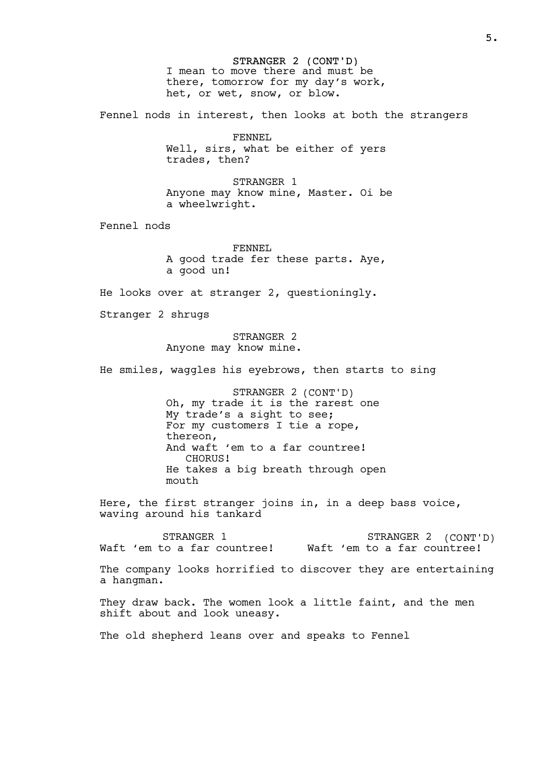STRANGER 2 (CONT'D) I mean to move there and must be there, tomorrow for my day's work, het, or wet, snow, or blow. Fennel nods in interest, then looks at both the strangers FENNEL Well, sirs, what be either of yers trades, then? STRANGER 1 Anyone may know mine, Master. Oi be a wheelwright. Fennel nods FENNEL A good trade fer these parts. Aye, a good un! He looks over at stranger 2, questioningly. Stranger 2 shrugs STRANGER 2 Anyone may know mine. He smiles, waggles his eyebrows, then starts to sing STRANGER 2 (CONT'D) Oh, my trade it is the rarest one My trade's a sight to see; For my customers I tie a rope, thereon, And waft 'em to a far countree! CHORUS! He takes a big breath through open mouth Here, the first stranger joins in, in a deep bass voice, waving around his tankard STRANGER 1 Waft 'em to a far countree! Waft 'em to a far countree! STRANGER 2 (CONT'D) The company looks horrified to discover they are entertaining a hangman. They draw back. The women look a little faint, and the men shift about and look uneasy.

The old shepherd leans over and speaks to Fennel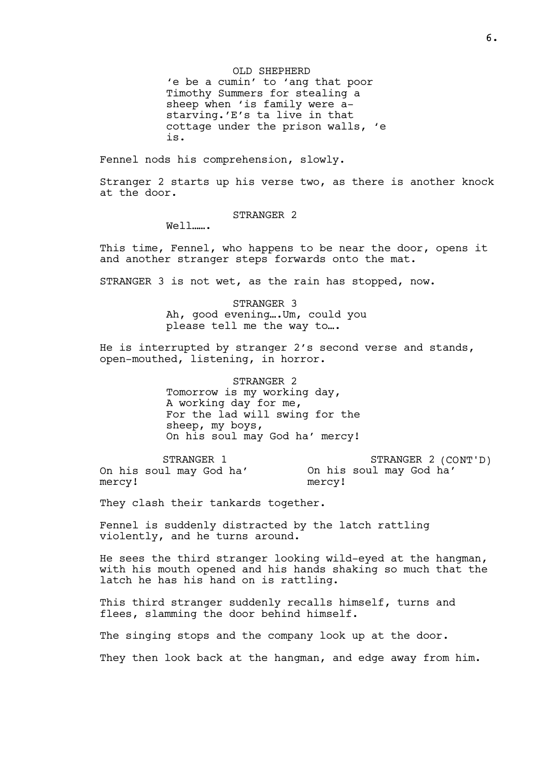OLD SHEPHERD 'e be a cumin' to 'ang that poor Timothy Summers for stealing a sheep when 'is family were astarving.'E's ta live in that cottage under the prison walls, 'e is.

Fennel nods his comprehension, slowly.

Stranger 2 starts up his verse two, as there is another knock at the door.

STRANGER 2

Well…….

This time, Fennel, who happens to be near the door, opens it and another stranger steps forwards onto the mat.

STRANGER 3 is not wet, as the rain has stopped, now.

STRANGER 3 Ah, good evening….Um, could you please tell me the way to….

He is interrupted by stranger 2's second verse and stands, open-mouthed, listening, in horror.

> STRANGER 2 Tomorrow is my working day, A working day for me, For the lad will swing for the sheep, my boys, On his soul may God ha' mercy!

STRANGER 1 On his soul may God ha' mercy! STRANGER 2 (CONT'D) On his soul may God ha' mercy!

They clash their tankards together.

Fennel is suddenly distracted by the latch rattling violently, and he turns around.

He sees the third stranger looking wild-eyed at the hangman, with his mouth opened and his hands shaking so much that the latch he has his hand on is rattling.

This third stranger suddenly recalls himself, turns and flees, slamming the door behind himself.

The singing stops and the company look up at the door.

They then look back at the hangman, and edge away from him.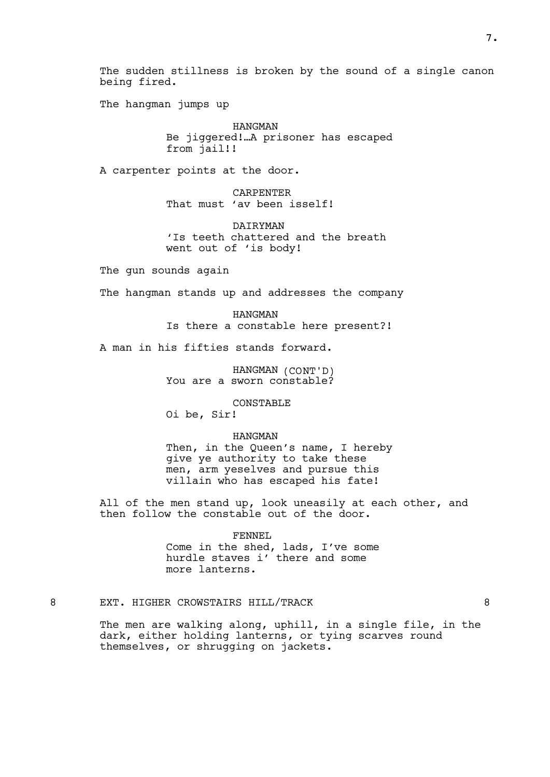The sudden stillness is broken by the sound of a single canon being fired.

The hangman jumps up

HANGMAN Be jiggered!…A prisoner has escaped from jail!!

A carpenter points at the door.

**CARPENTER** That must 'av been isself!

**DATRYMAN** 'Is teeth chattered and the breath went out of 'is body!

The gun sounds again

The hangman stands up and addresses the company

HANGMAN Is there a constable here present?!

A man in his fifties stands forward.

HANGMAN (CONT'D) You are a sworn constable?

CONSTABLE

Oi be, Sir!

HANGMAN

Then, in the Queen's name, I hereby give ye authority to take these men, arm yeselves and pursue this villain who has escaped his fate!

All of the men stand up, look uneasily at each other, and then follow the constable out of the door.

FENNEL

Come in the shed, lads, I've some hurdle staves i' there and some more lanterns.

# 8 EXT. HIGHER CROWSTAIRS HILL/TRACK 8

The men are walking along, uphill, in a single file, in the dark, either holding lanterns, or tying scarves round themselves, or shrugging on jackets.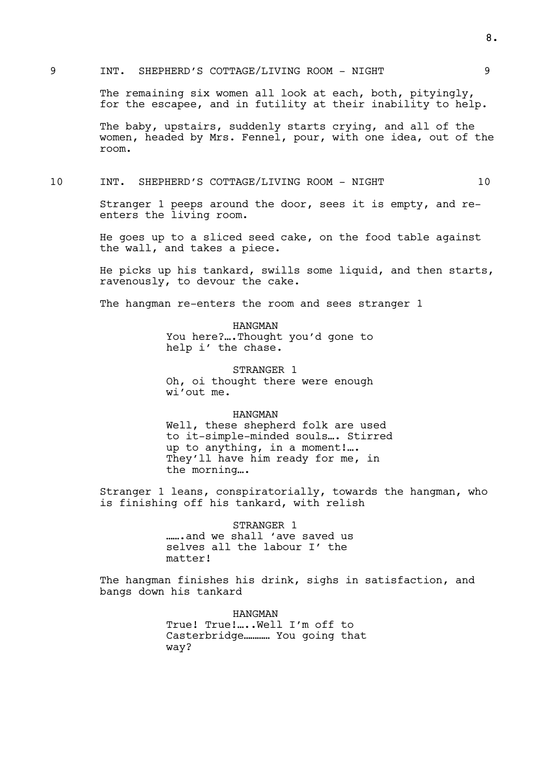## 9 INT. SHEPHERD'S COTTAGE/LIVING ROOM - NIGHT 9

The remaining six women all look at each, both, pityingly, for the escapee, and in futility at their inability to help.

The baby, upstairs, suddenly starts crying, and all of the women, headed by Mrs. Fennel, pour, with one idea, out of the room.

### 10 INT. SHEPHERD'S COTTAGE/LIVING ROOM - NIGHT 10

Stranger 1 peeps around the door, sees it is empty, and reenters the living room.

He goes up to a sliced seed cake, on the food table against the wall, and takes a piece.

He picks up his tankard, swills some liquid, and then starts, ravenously, to devour the cake.

The hangman re-enters the room and sees stranger 1

HANGMAN You here?….Thought you'd gone to help i' the chase.

STRANGER 1 Oh, oi thought there were enough wi'out me.

#### HANGMAN

Well, these shepherd folk are used to it-simple-minded souls…. Stirred up to anything, in a moment!…. They'll have him ready for me, in the morning….

Stranger 1 leans, conspiratorially, towards the hangman, who is finishing off his tankard, with relish

> STRANGER 1 …….and we shall 'ave saved us selves all the labour I' the matter!

The hangman finishes his drink, sighs in satisfaction, and bangs down his tankard

> HANGMAN True! True!…..Well I'm off to Casterbridge………… You going that way?

8.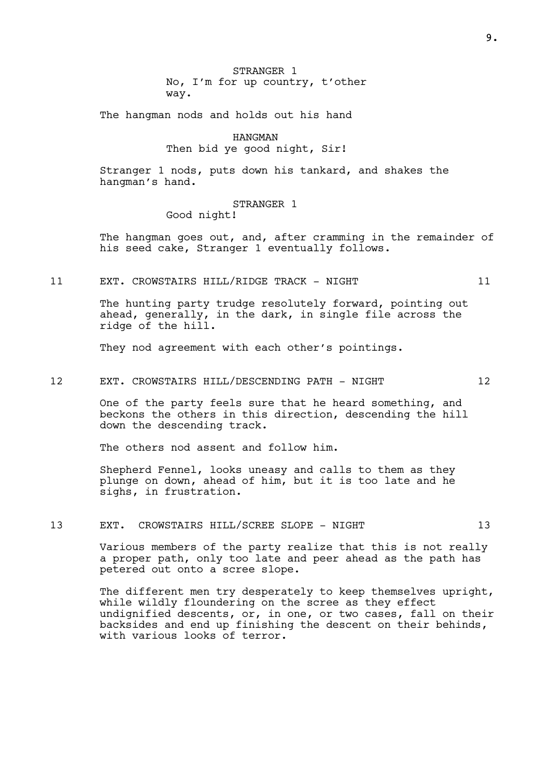STRANGER 1 No, I'm for up country, t'other way.

The hangman nods and holds out his hand

HANGMAN Then bid ye good night, Sir!

Stranger 1 nods, puts down his tankard, and shakes the hangman's hand.

### STRANGER 1

Good night!

The hangman goes out, and, after cramming in the remainder of his seed cake, Stranger 1 eventually follows.

11 EXT. CROWSTAIRS HILL/RIDGE TRACK - NIGHT 11

The hunting party trudge resolutely forward, pointing out ahead, generally, in the dark, in single file across the ridge of the hill.

They nod agreement with each other's pointings.

## 12 EXT. CROWSTAIRS HILL/DESCENDING PATH - NIGHT 12

One of the party feels sure that he heard something, and beckons the others in this direction, descending the hill down the descending track.

The others nod assent and follow him.

Shepherd Fennel, looks uneasy and calls to them as they plunge on down, ahead of him, but it is too late and he sighs, in frustration.

13 EXT. CROWSTAIRS HILL/SCREE SLOPE - NIGHT 13

Various members of the party realize that this is not really a proper path, only too late and peer ahead as the path has petered out onto a scree slope.

The different men try desperately to keep themselves upright, while wildly floundering on the scree as they effect undignified descents, or, in one, or two cases, fall on their backsides and end up finishing the descent on their behinds, with various looks of terror.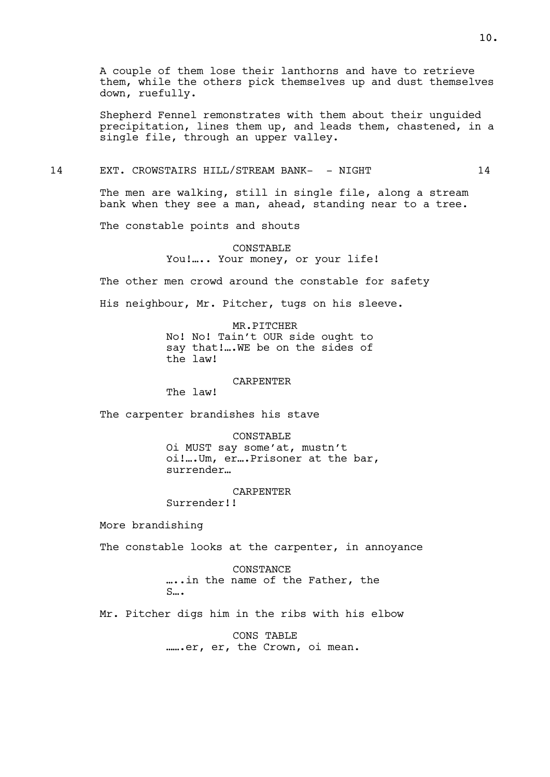Shepherd Fennel remonstrates with them about their unguided precipitation, lines them up, and leads them, chastened, in a single file, through an upper valley.

## 14 EXT. CROWSTAIRS HILL/STREAM BANK- - NIGHT 14

The men are walking, still in single file, along a stream bank when they see a man, ahead, standing near to a tree.

The constable points and shouts

# CONSTABLE You!….. Your money, or your life!

The other men crowd around the constable for safety

His neighbour, Mr. Pitcher, tugs on his sleeve.

## MR.PITCHER

No! No! Tain't OUR side ought to say that!….WE be on the sides of the law!

## CARPENTER

The law!

The carpenter brandishes his stave

CONSTABLE Oi MUST say some'at, mustn't oi!….Um, er….Prisoner at the bar, surrender…

## CARPENTER

Surrender!!

More brandishing

The constable looks at the carpenter, in annoyance

CONSTANCE …..in the name of the Father, the S….

Mr. Pitcher digs him in the ribs with his elbow

CONS TABLE …….er, er, the Crown, oi mean.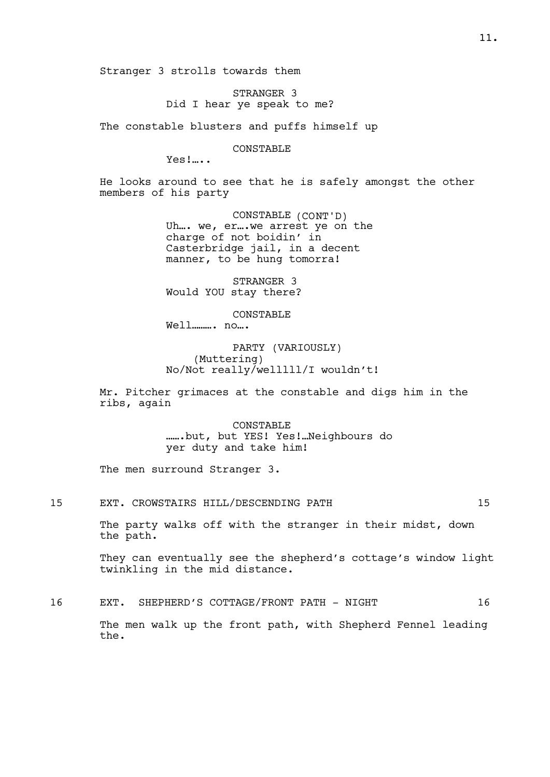Stranger 3 strolls towards them

STRANGER 3 Did I hear ye speak to me?

The constable blusters and puffs himself up

CONSTABLE

Yes!…..

He looks around to see that he is safely amongst the other members of his party

> CONSTABLE (CONT'D) Uh ... we, er ... we arrest ye on the charge of not boidin' in Casterbridge jail, in a decent manner, to be hung tomorra!

STRANGER 3 Would YOU stay there?

CONSTABLE

Well………. no….

PARTY (VARIOUSLY) (Muttering) No/Not really/welllll/I wouldn't!

Mr. Pitcher grimaces at the constable and digs him in the ribs, again

> CONSTABLE …….but, but YES! Yes!…Neighbours do yer duty and take him!

The men surround Stranger 3.

15 EXT. CROWSTAIRS HILL/DESCENDING PATH 15

The party walks off with the stranger in their midst, down the path.

They can eventually see the shepherd's cottage's window light twinkling in the mid distance.

16 EXT. SHEPHERD'S COTTAGE/FRONT PATH - NIGHT 16

The men walk up the front path, with Shepherd Fennel leading the.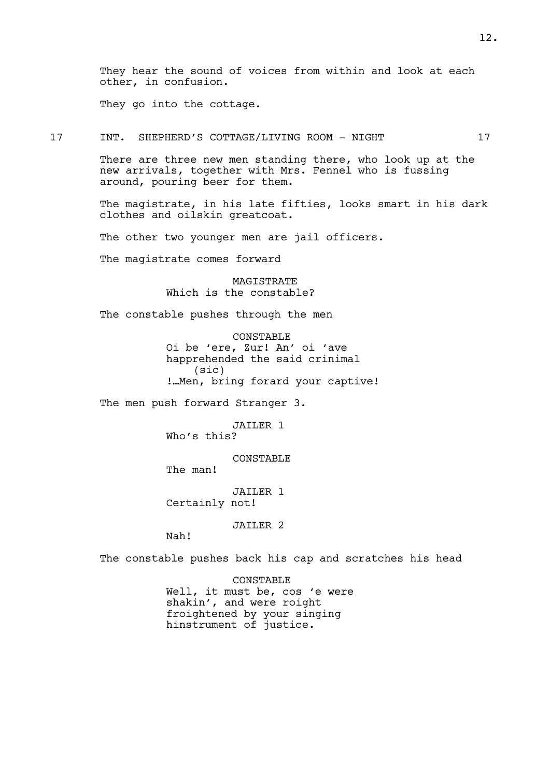They hear the sound of voices from within and look at each other, in confusion.

They go into the cottage.

17 INT. SHEPHERD'S COTTAGE/LIVING ROOM - NIGHT 17

There are three new men standing there, who look up at the new arrivals, together with Mrs. Fennel who is fussing around, pouring beer for them.

The magistrate, in his late fifties, looks smart in his dark clothes and oilskin greatcoat.

The other two younger men are jail officers.

The magistrate comes forward

MAGISTRATE Which is the constable?

The constable pushes through the men

CONSTABLE Oi be 'ere, Zur! An' oi 'ave happrehended the said crinimal (sic) !…Men, bring forard your captive!

The men push forward Stranger 3.

JAILER 1 Who's this?

CONSTABLE

The man!

JAILER 1 Certainly not!

JAILER 2

Nah!

The constable pushes back his cap and scratches his head

CONSTABLE Well, it must be, cos 'e were shakin', and were roight froightened by your singing hinstrument of justice.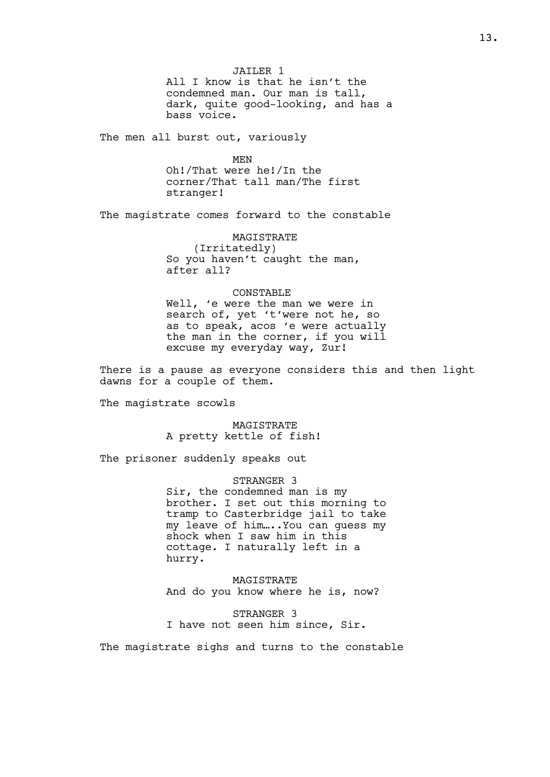JAILER<sub>1</sub> All I know is that he isn't the condemned man. Our man is tall, dark, quite good-looking, and has a bass voice.

The men all burst out, variously

MEN

Oh!/That were he!/In the corner/That tall man/The first stranger!

The magistrate comes forward to the constable

**MAGTSTRATE** (Irritatedly) So you haven't caught the man, after all?

#### CONSTABLE

Well, 'e were the man we were in search of, yet 't'were not he, so as to speak, acos 'e were actually the man in the corner, if you will excuse my everyday way, Zur!

There is a pause as everyone considers this and then light dawns for a couple of them.

The magistrate scowls

MAGISTRATE A pretty kettle of fish!

The prisoner suddenly speaks out

STRANGER 3 Sir, the condemned man is my brother. I set out this morning to tramp to Casterbridge jail to take my leave of him…..You can guess my shock when I saw him in this cottage. I naturally left in a hurry.

MAGISTRATE And do you know where he is, now?

STRANGER 3 I have not seen him since, Sir.

The magistrate sighs and turns to the constable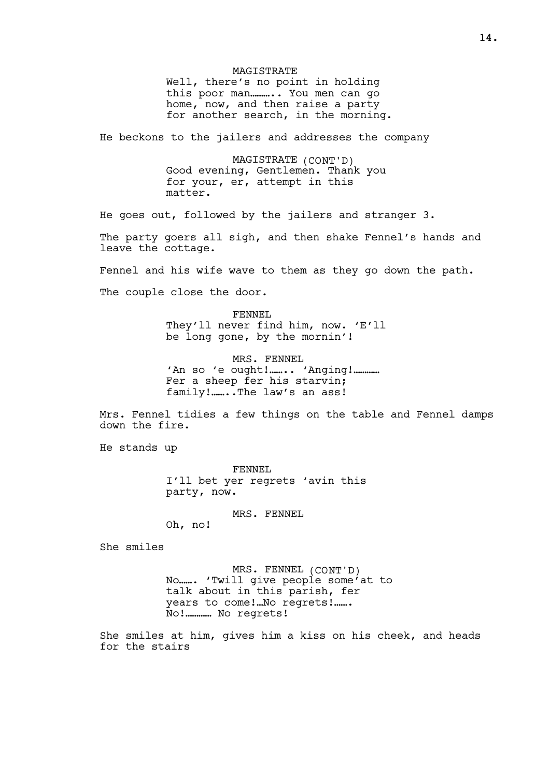**MAGTSTRATE** Well, there's no point in holding this poor man……….. You men can go home, now, and then raise a party for another search, in the morning.

He beckons to the jailers and addresses the company

MAGISTRATE (CONT'D) Good evening, Gentlemen. Thank you for your, er, attempt in this matter.

He goes out, followed by the jailers and stranger 3.

The party goers all sigh, and then shake Fennel's hands and leave the cottage.

Fennel and his wife wave to them as they go down the path.

The couple close the door.

FENNEL They'll never find him, now. 'E'll be long gone, by the mornin'!

MRS. FENNEL 'An so 'e ought!........ 'Anging!............ Fer a sheep fer his starvin; family!.......The law's an ass!

Mrs. Fennel tidies a few things on the table and Fennel damps down the fire.

He stands up

FENNEL I'll bet yer regrets 'avin this party, now.

MRS. FENNEL

Oh, no!

She smiles

MRS. FENNEL (CONT'D) No……. 'Twill give people some'at to talk about in this parish, fer years to come!…No regrets!……. No!………… No regrets!

She smiles at him, gives him a kiss on his cheek, and heads for the stairs